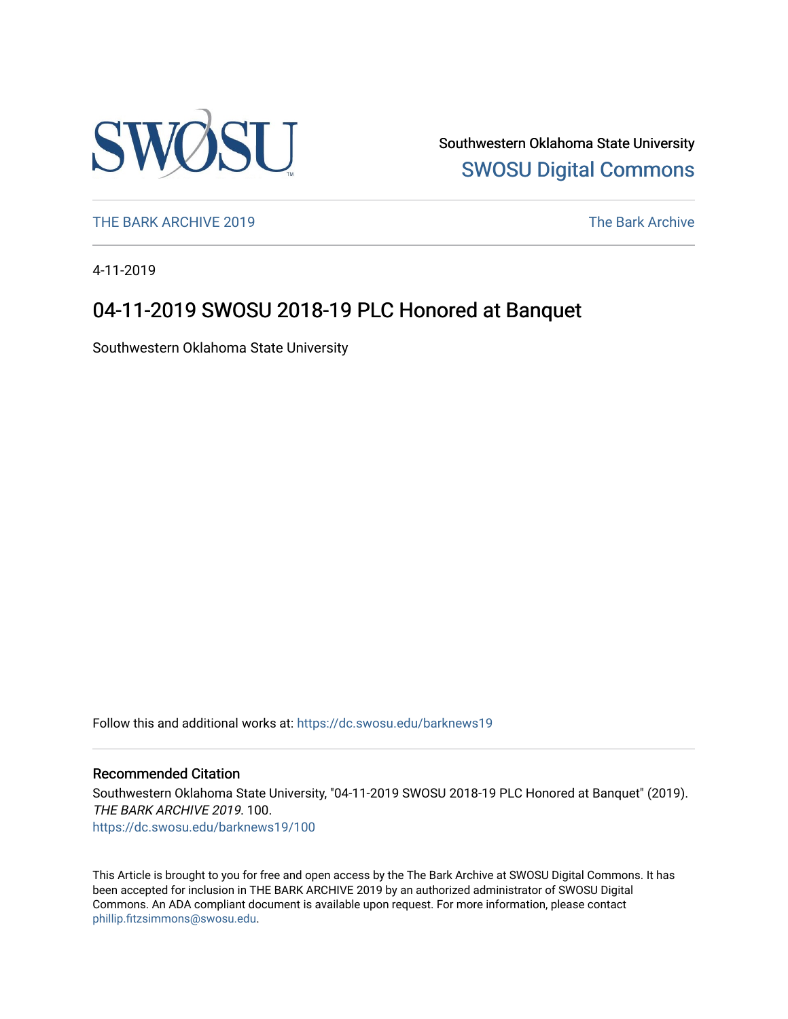

Southwestern Oklahoma State University [SWOSU Digital Commons](https://dc.swosu.edu/) 

[THE BARK ARCHIVE 2019](https://dc.swosu.edu/barknews19) The Bark Archive

4-11-2019

### 04-11-2019 SWOSU 2018-19 PLC Honored at Banquet

Southwestern Oklahoma State University

Follow this and additional works at: [https://dc.swosu.edu/barknews19](https://dc.swosu.edu/barknews19?utm_source=dc.swosu.edu%2Fbarknews19%2F100&utm_medium=PDF&utm_campaign=PDFCoverPages)

#### Recommended Citation

Southwestern Oklahoma State University, "04-11-2019 SWOSU 2018-19 PLC Honored at Banquet" (2019). THE BARK ARCHIVE 2019. 100. [https://dc.swosu.edu/barknews19/100](https://dc.swosu.edu/barknews19/100?utm_source=dc.swosu.edu%2Fbarknews19%2F100&utm_medium=PDF&utm_campaign=PDFCoverPages)

This Article is brought to you for free and open access by the The Bark Archive at SWOSU Digital Commons. It has been accepted for inclusion in THE BARK ARCHIVE 2019 by an authorized administrator of SWOSU Digital Commons. An ADA compliant document is available upon request. For more information, please contact [phillip.fitzsimmons@swosu.edu](mailto:phillip.fitzsimmons@swosu.edu).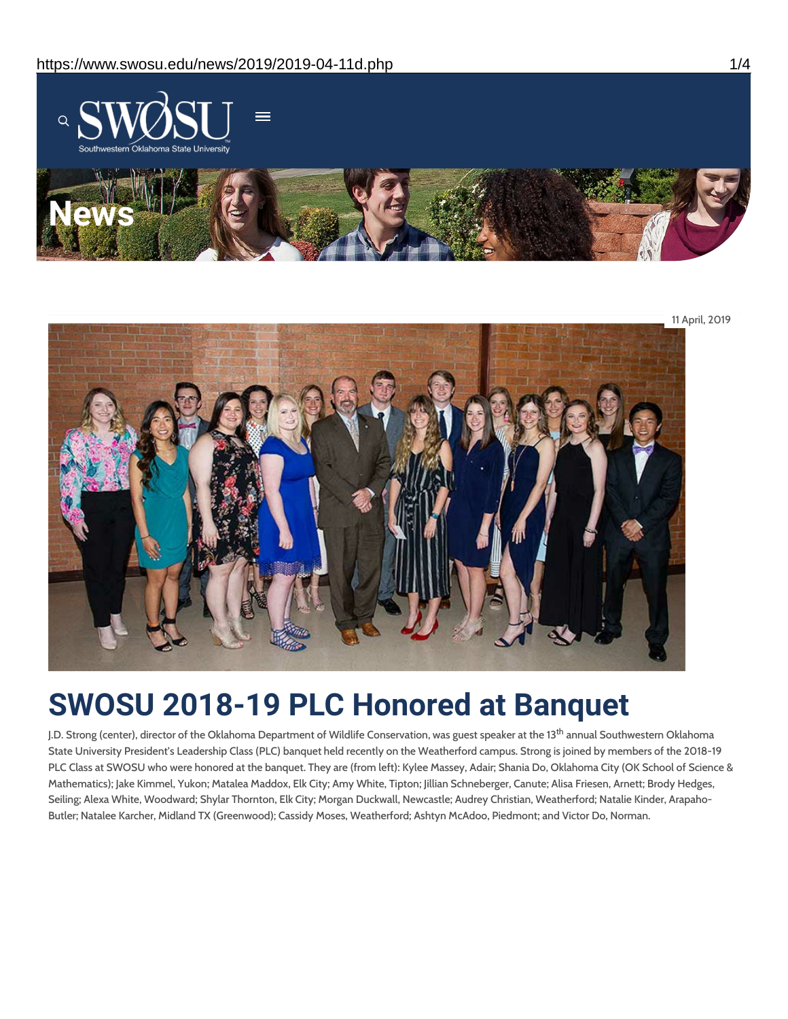

11 April, 2019

# **SWOSU 2018-19 PLC Honored at Banquet**

J.D. Strong (center), director of the Oklahoma Department of Wildlife Conservation, was guest speaker at the 13<sup>th</sup> annual Southwestern Oklahoma State University President's Leadership Class (PLC) banquet held recently on the Weatherford campus. Strong is joined by members of the 2018-19 PLC Class at SWOSU who were honored at the banquet. They are (from left): Kylee Massey, Adair; Shania Do, Oklahoma City (OK School of Science & Mathematics); Jake Kimmel, Yukon; Matalea Maddox, Elk City; Amy White, Tipton; Jillian Schneberger, Canute; Alisa Friesen, Arnett; Brody Hedges, Seiling; Alexa White, Woodward; Shylar Thornton, Elk City; Morgan Duckwall, Newcastle; Audrey Christian, Weatherford; Natalie Kinder, Arapaho-Butler; Natalee Karcher, Midland TX (Greenwood); Cassidy Moses, Weatherford; Ashtyn McAdoo, Piedmont; and Victor Do, Norman.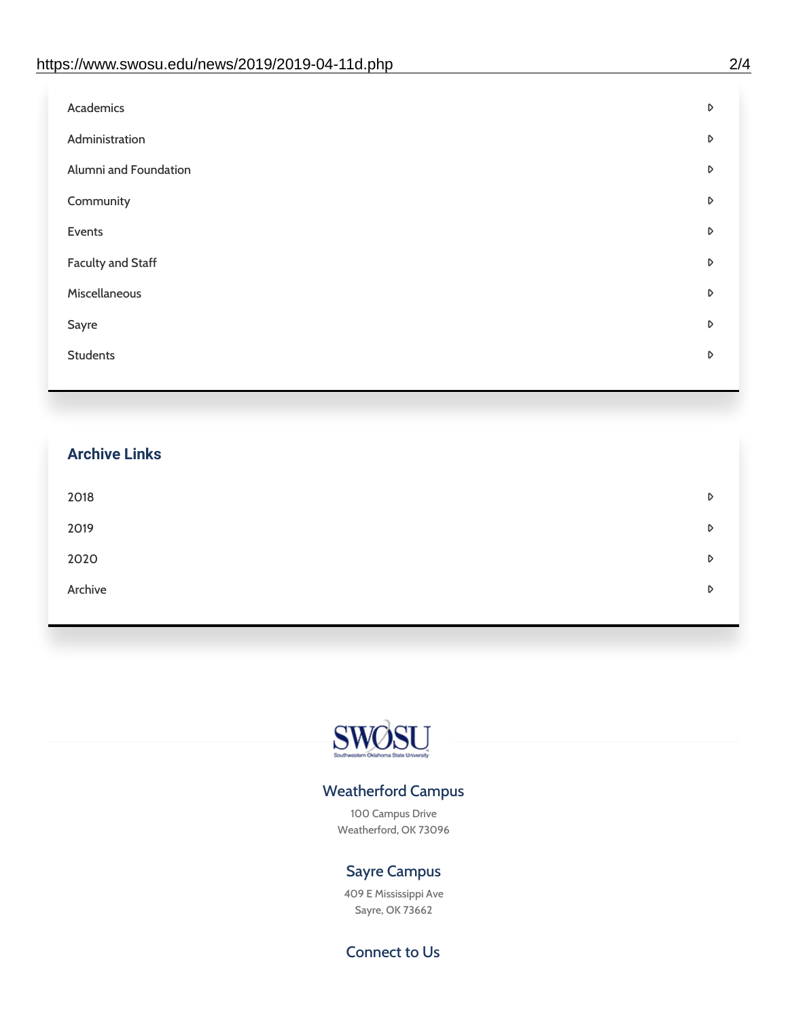| Academics                | D |
|--------------------------|---|
| Administration           | D |
| Alumni and Foundation    | D |
| Community                | D |
| Events                   | D |
| <b>Faculty and Staff</b> | D |
| Miscellaneous            | D |
| Sayre                    | D |
| <b>Students</b>          | D |
|                          |   |

## **Archive Links**  $2018$  $2019$ [2020](https://www.swosu.edu/news/2020/index.php)  $\bullet$ [Archive](https://dc.swosu.edu/bark/) **Archive Archive Archive Archive Archive** Archive Archive Archive Archive Archive Archive Archive Archive



### Weatherford Campus

100 Campus Drive Weatherford, OK 73096

### Sayre Campus

409 E Mississippi Ave Sayre, OK 73662

Connect to Us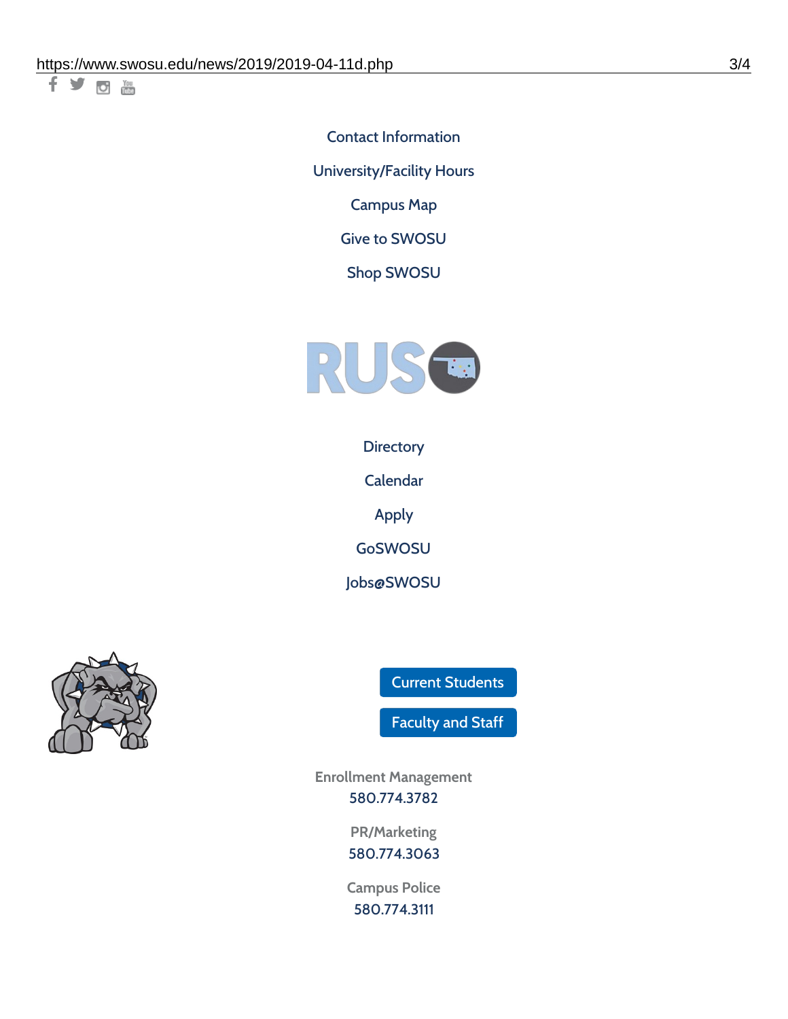千岁回调

Contact [Information](https://www.swosu.edu/about/contact.php) [University/Facility](https://www.swosu.edu/about/operating-hours.php) Hours [Campus](https://map.concept3d.com/?id=768#!ct/10964,10214,10213,10212,10205,10204,10203,10202,10136,10129,10128,0,31226,10130,10201,10641,0) Map

Give to [SWOSU](https://standingfirmly.com/donate)

Shop [SWOSU](https://shopswosu.merchorders.com/)



**[Directory](https://www.swosu.edu/directory/index.php)** 

[Calendar](https://eventpublisher.dudesolutions.com/swosu/)

[Apply](https://www.swosu.edu/admissions/apply-to-swosu.php)

[GoSWOSU](https://qlsso.quicklaunchsso.com/home/1267)

[Jobs@SWOSU](https://swosu.csod.com/ux/ats/careersite/1/home?c=swosu)



Current [Students](https://bulldog.swosu.edu/index.php)

[Faculty](https://bulldog.swosu.edu/faculty-staff/index.php) and Staff

**Enrollment Management** [580.774.3782](tel:5807743782)

> **PR/Marketing** [580.774.3063](tel:5807743063)

**Campus Police** [580.774.3111](tel:5807743111)